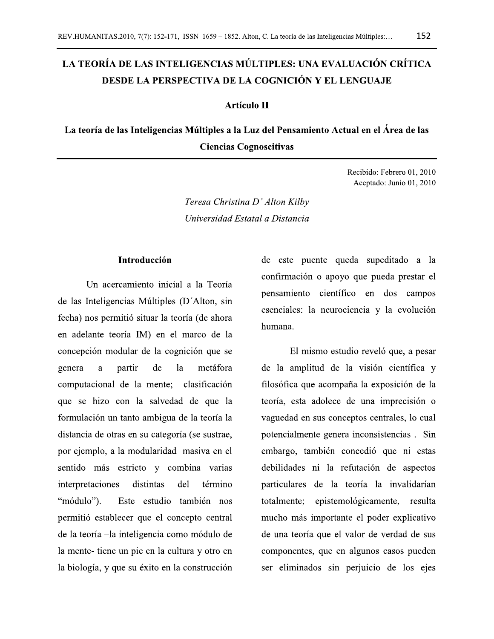# LA TEORÍA DE LAS INTELIGENCIAS MÚLTIPLES: UNA EVALUACIÓN CRÍTICA **DESDE LA PERSPECTIVA DE LA COGNICIÓN Y EL LENGUAJE**

### **Artículo II**

La teoría de las Inteligencias Múltiples a la Luz del Pensamiento Actual en el Área de las **Ciencias Cognoscitivas** 

> Recibido: Febrero 01, 2010 Aceptado: Junio 01, 2010

Teresa Christina D' Alton Kilby Universidad Estatal a Distancia

### **Introducción**

Un acercamiento inicial a la Teoría de las Inteligencias Múltiples (D'Alton, sin fecha) nos permitió situar la teoría (de ahora en adelante teoría IM) en el marco de la concepción modular de la cognición que se genera  $\mathbf{a}$ partir de la metáfora computacional de la mente; clasificación que se hizo con la salvedad de que la formulación un tanto ambigua de la teoría la distancia de otras en su categoría (se sustrae, por ejemplo, a la modularidad masiva en el sentido más estricto y combina varias interpretaciones distintas del término "módulo"). Este estudio también nos permitió establecer que el concepto central de la teoría -la inteligencia como módulo de la mente-tiene un pie en la cultura y otro en la biología, y que su éxito en la construcción de este puente queda supeditado a la confirmación o apoyo que pueda prestar el pensamiento científico en dos campos esenciales: la neurociencia y la evolución humana.

El mismo estudio reveló que, a pesar de la amplitud de la visión científica y filosófica que acompaña la exposición de la teoría, esta adolece de una imprecisión o vaguedad en sus conceptos centrales, lo cual potencialmente genera inconsistencias. Sin embargo, también concedió que ni estas debilidades ni la refutación de aspectos particulares de la teoría la invalidarían totalmente: epistemológicamente, resulta mucho más importante el poder explicativo de una teoría que el valor de verdad de sus componentes, que en algunos casos pueden ser eliminados sin perjuicio de los ejes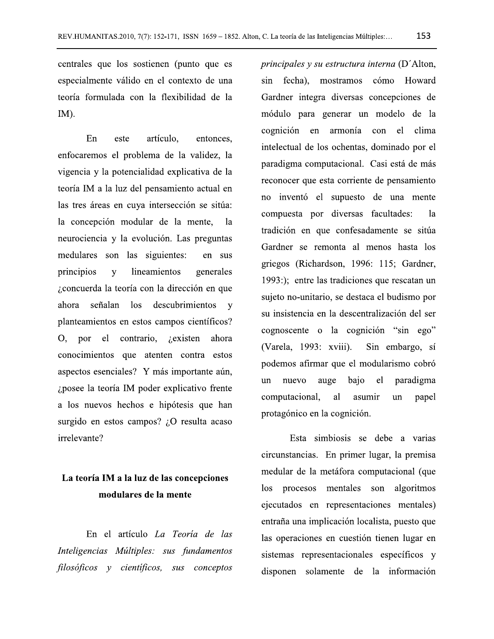centrales que los sostienen (punto que es especialmente válido en el contexto de una teoría formulada con la flexibilidad de la IM).

 $En$ artículo. este entonces. enfocaremos el problema de la validez, la vigencia y la potencialidad explicativa de la teoría IM a la luz del pensamiento actual en las tres áreas en cuya intersección se sitúa: la concepción modular de la mente, <sup>1</sup>a neurociencia y la evolución. Las preguntas medulares son las siguientes: en sus principios lineamientos  $\mathbf{V}$ generales ¿concuerda la teoría con la dirección en que señalan los descubrimientos y ahora planteamientos en estos campos científicos? O, por el contrario,  $i$ existen ahora conocimientos que atenten contra estos aspectos esenciales? Y más importante aún, ¿posee la teoría IM poder explicativo frente a los nuevos hechos e hipótesis que han surgido en estos campos? ¿O resulta acaso irrelevante?

## La teoría IM a la luz de las concepciones modulares de la mente

En el artículo La Teoría de las Inteligencias Múltiples: sus fundamentos filosóficos y científicos, sus conceptos principales y su estructura interna (D'Alton, sin fecha), mostramos cómo Howard Gardner integra diversas concepciones de módulo para generar un modelo de la cognición en armonía con el clima intelectual de los ochentas, dominado por el paradigma computacional. Casi está de más reconocer que esta corriente de pensamiento no inventó el supuesto de una mente compuesta por diversas facultades:  $1a$ tradición en que confesadamente se sitúa Gardner se remonta al menos hasta los griegos (Richardson, 1996: 115; Gardner, 1993:); entre las tradiciones que rescatan un sujeto no-unitario, se destaca el budismo por su insistencia en la descentralización del ser cognoscente o la cognición "sin ego" (Varela, 1993: xviii). Sin embargo, sí podemos afirmar que el modularismo cobró nuevo auge bajo el paradigma un computacional, al asumir un papel protagónico en la cognición.

Esta simbiosis se debe a varias circunstancias. En primer lugar, la premisa medular de la metáfora computacional (que procesos mentales son  $\log$ algoritmos ejecutados en representaciones mentales) entraña una implicación localista, puesto que las operaciones en cuestión tienen lugar en sistemas representacionales específicos y disponen solamente de la información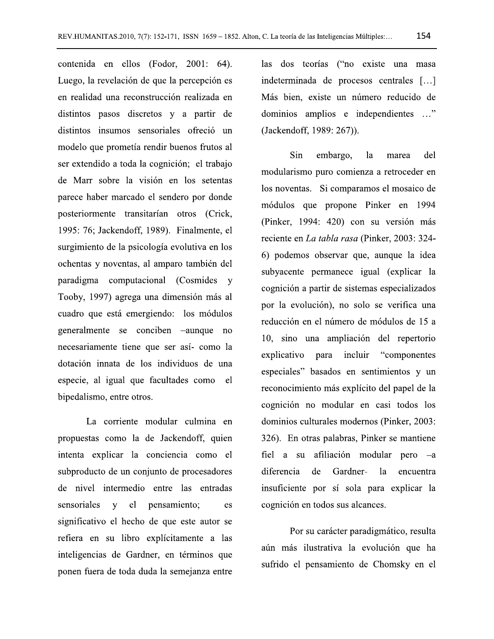contenida en ellos (Fodor, 2001: 64). Luego, la revelación de que la percepción es en realidad una reconstrucción realizada en distintos pasos discretos y a partir de distintos insumos sensoriales ofreció un modelo que prometía rendir buenos frutos al ser extendido a toda la cognición; el trabajo de Marr sobre la visión en los setentas parece haber marcado el sendero por donde posteriormente transitarían otros (Crick, 1995: 76; Jackendoff, 1989). Finalmente, el surgimiento de la psicología evolutiva en los ochentas y noventas, al amparo también del paradigma computacional (Cosmides y Tooby, 1997) agrega una dimensión más al cuadro que está emergiendo: los módulos generalmente se conciben –aunque no necesariamente tiene que ser así- como la dotación innata de los individuos de una especie, al igual que facultades como el bipedalismo, entre otros.

La corriente modular culmina en propuestas como la de Jackendoff, quien intenta explicar la conciencia como el subproducto de un conjunto de procesadores de nivel intermedio entre las entradas sensoriales  $\mathbf{V}$ el pensamiento; es significativo el hecho de que este autor se refiera en su libro explícitamente a las inteligencias de Gardner, en términos que ponen fuera de toda duda la semejanza entre

las dos teorías ("no existe una masa indeterminada de procesos centrales [...] Más bien, existe un número reducido de dominios amplios e independientes ..." (Jackendoff, 1989: 267)).

Sin del embargo,  $1a$ marea modularismo puro comienza a retroceder en los noventas. Si comparamos el mosaico de módulos que propone Pinker en 1994 (Pinker, 1994: 420) con su versión más reciente en La tabla rasa (Pinker, 2003: 324-6) podemos observar que, aunque la idea subyacente permanece igual (explicar la cognición a partir de sistemas especializados por la evolución), no solo se verifica una reducción en el número de módulos de 15 a 10, sino una ampliación del repertorio explicativo para incluir "componentes" especiales" basados en sentimientos y un reconocimiento más explícito del papel de la cognición no modular en casi todos los dominios culturales modernos (Pinker, 2003: 326). En otras palabras, Pinker se mantiene fiel a su afiliación modular pero –a diferencia de Gardnerla encuentra insuficiente por sí sola para explicar la cognición en todos sus alcances.

Por su carácter paradigmático, resulta aún más ilustrativa la evolución que ha sufrido el pensamiento de Chomsky en el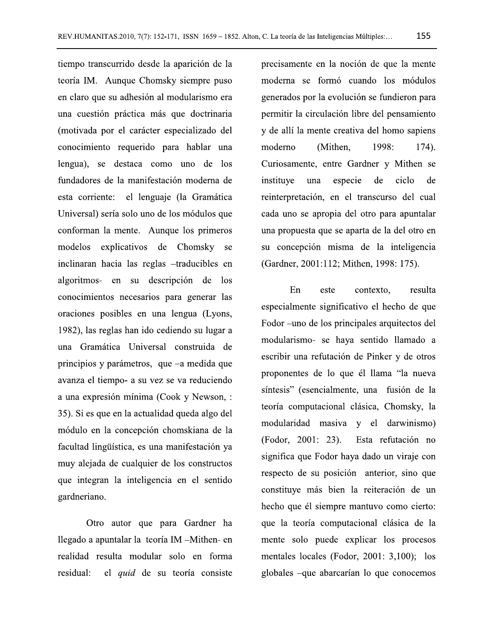tiempo transcurrido desde la aparición de la teoría IM. Aunque Chomsky siempre puso en claro que su adhesión al modularismo era una cuestión práctica más que doctrinaria (motivada por el carácter especializado del conocimiento requerido para hablar una lengua), se destaca como uno de los fundadores de la manifestación moderna de esta corriente: el lenguaje (la Gramática Universal) sería solo uno de los módulos que conforman la mente. Aunque los primeros modelos explicativos de Chomsky se inclinaran hacia las reglas -traducibles en algoritmos- en su descripción de los conocimientos necesarios para generar las oraciones posibles en una lengua (Lyons, 1982), las reglas han ido cediendo su lugar a una Gramática Universal construida de principios y parámetros, que –a medida que avanza el tiempo- a su vez se va reduciendo a una expresión mínima (Cook y Newson, : 35). Si es que en la actualidad queda algo del módulo en la concepción chomskiana de la facultad lingüística, es una manifestación ya muy alejada de cualquier de los constructos que integran la inteligencia en el sentido gardneriano.

Otro autor que para Gardner ha llegado a apuntalar la teoría IM -Mithen- en realidad resulta modular solo en forma residual: el quid de su teoría consiste

precisamente en la noción de que la mente moderna se formó cuando los módulos generados por la evolución se fundieron para permitir la circulación libre del pensamiento y de allí la mente creativa del homo sapiens moderno (Mithen, 1998: 174). Curiosamente, entre Gardner y Mithen se instituye una especie ciclo de de reinterpretación, en el transcurso del cual cada uno se apropia del otro para apuntalar una propuesta que se aparta de la del otro en su concepción misma de la inteligencia (Gardner, 2001:112; Mithen, 1998: 175).

En este contexto. resulta especialmente significativo el hecho de que Fodor – uno de los principales arquitectos del modularismo- se haya sentido llamado a escribir una refutación de Pinker y de otros proponentes de lo que él llama "la nueva síntesis" (esencialmente, una fusión de la teoría computacional clásica, Chomsky, la modularidad masiva y el darwinismo) (Fodor, 2001: 23). Esta refutación no significa que Fodor haya dado un viraje con respecto de su posición anterior, sino que constituye más bien la reiteración de un hecho que él siempre mantuvo como cierto: que la teoría computacional clásica de la mente solo puede explicar los procesos mentales locales (Fodor, 2001: 3,100); los globales -que abarcarían lo que conocemos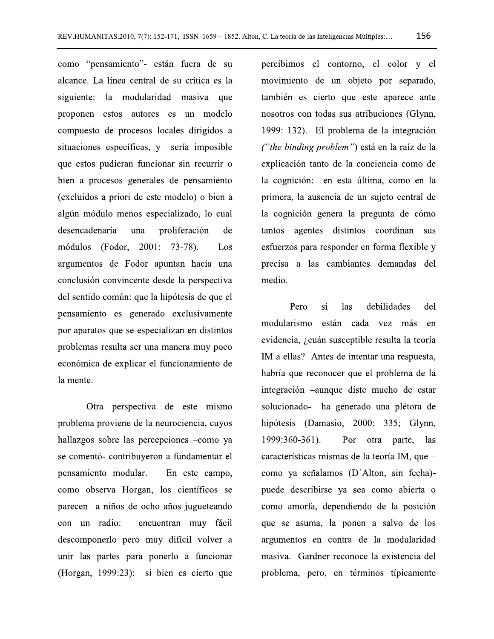como "pensamiento"- están fuera de su alcance. La línea central de su crítica es la siguiente: la modularidad masiva que proponen estos autores es un modelo compuesto de procesos locales dirigidos a situaciones específicas, y sería imposible que estos pudieran funcionar sin recurrir o bien a procesos generales de pensamiento (excluidos a priori de este modelo) o bien a algún módulo menos especializado, lo cual desencadenaría una proliferación de módulos (Fodor, 2001: 73-78). Los argumentos de Fodor apuntan hacia una conclusión convincente desde la perspectiva del sentido común: que la hipótesis de que el pensamiento es generado exclusivamente por aparatos que se especializan en distintos problemas resulta ser una manera muy poco económica de explicar el funcionamiento de la mente.

Otra perspectiva de este mismo problema proviene de la neurociencia, cuyos hallazgos sobre las percepciones -como ya se comentó- contribuyeron a fundamentar el pensamiento modular. En este campo, como observa Horgan, los científicos se parecen a niños de ocho años jugueteando con un radio: encuentran muy fácil descomponerlo pero muy difícil volver a unir las partes para ponerlo a funcionar (Horgan, 1999:23); si bien es cierto que

percibimos el contorno, el color y el movimiento de un objeto por separado, también es cierto que este aparece ante nosotros con todas sus atribuciones (Glynn, 1999: 132). El problema de la integración ("the binding problem") está en la raíz de la explicación tanto de la conciencia como de la cognición: en esta última, como en la primera, la ausencia de un sujeto central de la cognición genera la pregunta de cómo tantos agentes distintos coordinan sus esfuerzos para responder en forma flexible y precisa a las cambiantes demandas del medio.

Pero  $\overline{si}$ las debilidades del modularismo están cada vez más en evidencia, ¿cuán susceptible resulta la teoría IM a ellas? Antes de intentar una respuesta, habría que reconocer que el problema de la integración -aunque diste mucho de estar solucionado- ha generado una plétora de hipótesis (Damasio, 2000: 335; Glynn, 1999:360-361). Por otra parte, las características mismas de la teoría IM, que – como ya señalamos (D'Alton, sin fecha)puede describirse ya sea como abierta o como amorfa, dependiendo de la posición que se asuma, la ponen a salvo de los argumentos en contra de la modularidad masiva. Gardner reconoce la existencia del problema, pero, en términos típicamente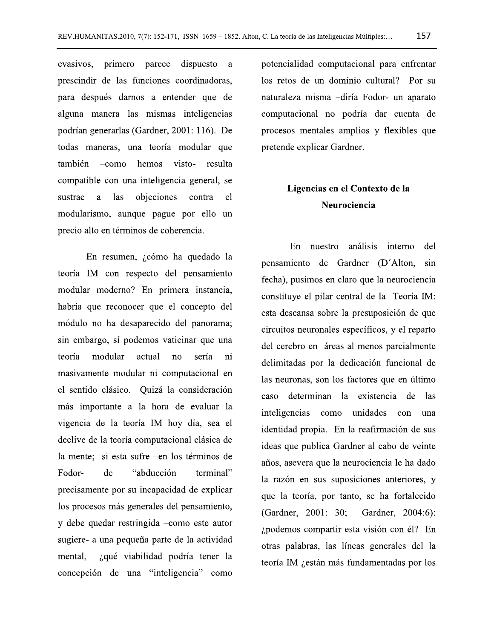evasivos, primero parece dispuesto prescindir de las funciones coordinadoras, para después darnos a entender que de alguna manera las mismas inteligencias podrían generarlas (Gardner, 2001: 116). De todas maneras, una teoría modular que también -como hemos visto- resulta compatible con una inteligencia general, se sustrae a las objeciones contra el modularismo, aunque pague por ello un precio alto en términos de coherencia.

En resumen, ¿cómo ha quedado la teoría IM con respecto del pensamiento modular moderno? En primera instancia, habría que reconocer que el concepto del módulo no ha desaparecido del panorama; sin embargo, sí podemos vaticinar que una teoría modular actual  $no$ sería ni masivamente modular ni computacional en el sentido clásico. Quizá la consideración más importante a la hora de evaluar la vigencia de la teoría IM hoy día, sea el declive de la teoría computacional clásica de la mente; si esta sufre -en los términos de Fodorde "abducción terminal" precisamente por su incapacidad de explicar los procesos más generales del pensamiento, y debe quedar restringida -como este autor sugiere- a una pequeña parte de la actividad mental. ¿qué viabilidad podría tener la concepción de una "inteligencia" como

potencialidad computacional para enfrentar los retos de un dominio cultural? Por su naturaleza misma -diría Fodor- un aparato computacional no podría dar cuenta de procesos mentales amplios y flexibles que pretende explicar Gardner.

### Ligencias en el Contexto de la Neurociencia

En nuestro análisis interno del pensamiento de Gardner (D'Alton, sin fecha), pusimos en claro que la neurociencia constituye el pilar central de la Teoría IM: esta descansa sobre la presuposición de que circuitos neuronales específicos, y el reparto del cerebro en áreas al menos parcialmente delimitadas por la dedicación funcional de las neuronas, son los factores que en último caso determinan la existencia de las inteligencias como unidades con una identidad propia. En la reafirmación de sus ideas que publica Gardner al cabo de veinte años, asevera que la neurociencia le ha dado la razón en sus suposiciones anteriores, y que la teoría, por tanto, se ha fortalecido (Gardner, 2001: 30; Gardner, 2004:6): ¿podemos compartir esta visión con él? En otras palabras, las líneas generales del la teoría IM ¿están más fundamentadas por los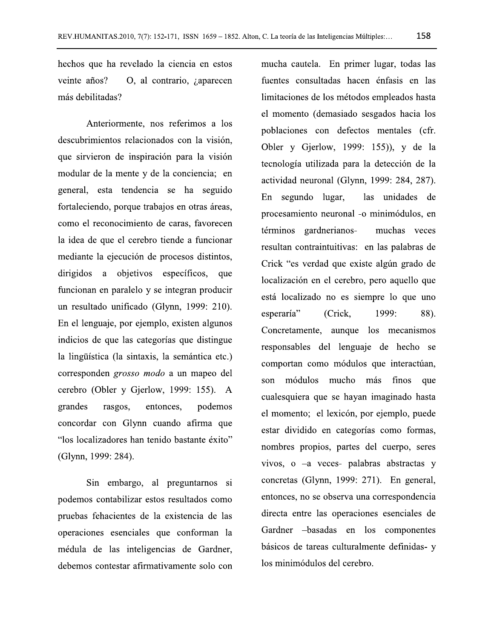hechos que ha revelado la ciencia en estos veinte años? O, al contrario, *i* aparecen más debilitadas?

Anteriormente, nos referimos a los descubrimientos relacionados con la visión, que sirvieron de inspiración para la visión modular de la mente y de la conciencia; en general, esta tendencia se ha seguido fortaleciendo, porque trabajos en otras áreas, como el reconocimiento de caras, favorecen la idea de que el cerebro tiende a funcionar mediante la ejecución de procesos distintos, dirigidos a objetivos específicos, que funcionan en paralelo y se integran producir un resultado unificado (Glynn, 1999: 210). En el lenguaje, por ejemplo, existen algunos indicios de que las categorías que distingue la lingüística (la sintaxis, la semántica etc.) corresponden grosso modo a un mapeo del cerebro (Obler y Gjerlow, 1999: 155). A grandes rasgos, entonces. podemos concordar con Glynn cuando afirma que "los localizadores han tenido bastante éxito" (Glynn, 1999: 284).

Sin embargo, al preguntarnos si podemos contabilizar estos resultados como pruebas fehacientes de la existencia de las operaciones esenciales que conforman la médula de las inteligencias de Gardner, debemos contestar afirmativamente solo con

mucha cautela. En primer lugar, todas las fuentes consultadas hacen énfasis en las limitaciones de los métodos empleados hasta el momento (demasiado sesgados hacia los poblaciones con defectos mentales (cfr. Obler y Gjerlow, 1999: 155)), y de la tecnología utilizada para la detección de la actividad neuronal (Glynn, 1999: 284, 287). En segundo lugar, las unidades de procesamiento neuronal -o minimódulos, en términos gardnerianosmuchas veces resultan contraintuitivas: en las palabras de Crick "es verdad que existe algún grado de localización en el cerebro, pero aquello que está localizado no es siempre lo que uno esperaría"  $1999:$ 88). (Crick.) Concretamente, aunque los mecanismos responsables del lenguaje de hecho se comportan como módulos que interactúan, son módulos mucho más finos que cualesquiera que se hayan imaginado hasta el momento; el lexicón, por ejemplo, puede estar dividido en categorías como formas, nombres propios, partes del cuerpo, seres vivos, o  $-a$  veces- palabras abstractas y concretas (Glynn, 1999: 271). En general, entonces, no se observa una correspondencia directa entre las operaciones esenciales de Gardner -basadas en los componentes básicos de tareas culturalmente definidas- y los minimódulos del cerebro.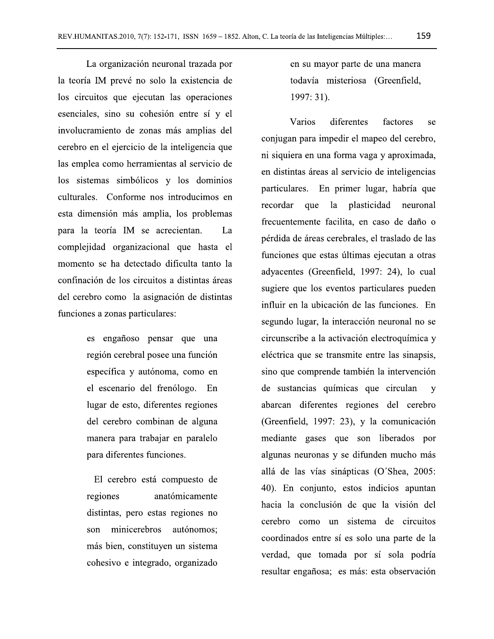La organización neuronal trazada por la teoría IM prevé no solo la existencia de los circuitos que ejecutan las operaciones esenciales, sino su cohesión entre sí y el involucramiento de zonas más amplias del cerebro en el ejercicio de la inteligencia que las emplea como herramientas al servicio de los sistemas simbólicos y los dominios culturales. Conforme nos introducimos en esta dimensión más amplia, los problemas para la teoría IM se acrecientan. La complejidad organizacional que hasta el momento se ha detectado dificulta tanto la confinación de los circuitos a distintas áreas del cerebro como la asignación de distintas funciones a zonas particulares:

> es engañoso pensar que una región cerebral posee una función específica y autónoma, como en el escenario del frenólogo. En lugar de esto, diferentes regiones del cerebro combinan de alguna manera para trabajar en paralelo para diferentes funciones.

> El cerebro está compuesto de regiones anatómicamente distintas, pero estas regiones no son minicerebros autónomos: más bien, constituyen un sistema cohesivo e integrado, organizado

en su mayor parte de una manera todavía misteriosa (Greenfield,  $1997:31$ ).

Varios diferentes factores se conjugan para impedir el mapeo del cerebro, ni siquiera en una forma vaga y aproximada, en distintas áreas al servicio de inteligencias particulares. En primer lugar, habría que recordar que la plasticidad neuronal frecuentemente facilita, en caso de daño o pérdida de áreas cerebrales, el traslado de las funciones que estas últimas ejecutan a otras adyacentes (Greenfield, 1997: 24), lo cual sugiere que los eventos particulares pueden influir en la ubicación de las funciones. En segundo lugar, la interacción neuronal no se circunscribe a la activación electroquímica y eléctrica que se transmite entre las sinapsis, sino que comprende también la intervención de sustancias químicas que circulan  $\mathbf{v}$ abarcan diferentes regiones del cerebro (Greenfield, 1997: 23), y la comunicación mediante gases que son liberados por algunas neuronas y se difunden mucho más allá de las vías sinápticas (O'Shea, 2005: 40). En conjunto, estos indicios apuntan hacia la conclusión de que la visión del cerebro como un sistema de circuitos coordinados entre sí es solo una parte de la verdad, que tomada por sí sola podría resultar engañosa; es más: esta observación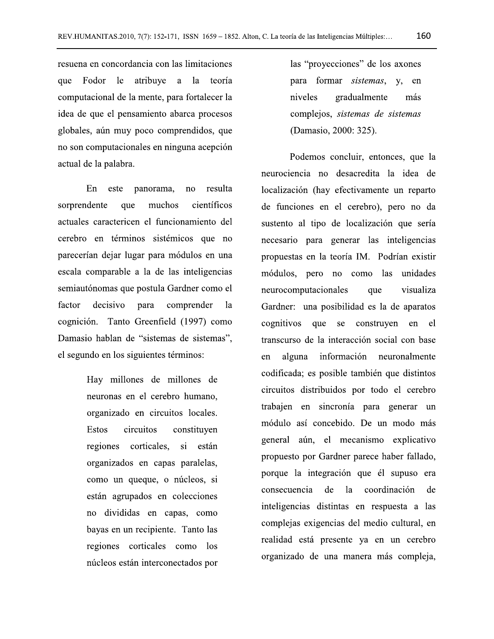resuena en concordancia con las limitaciones que Fodor le atribuye a la teoría computacional de la mente, para fortalecer la idea de que el pensamiento abarca procesos globales, aún muy poco comprendidos, que no son computacionales en ninguna acepción actual de la palabra.

 $En$ resulta este panorama, no sorprendente muchos científicos que actuales caractericen el funcionamiento del cerebro en términos sistémicos que no parecerían dejar lugar para módulos en una escala comparable a la de las inteligencias semiautónomas que postula Gardner como el decisivo factor para comprender  $1a$ cognición. Tanto Greenfield (1997) como Damasio hablan de "sistemas de sistemas", el segundo en los siguientes términos:

> Hay millones de millones de neuronas en el cerebro humano. organizado en circuitos locales. **Estos** circuitos constituyen regiones corticales, si están organizados en capas paralelas, como un queque, o núcleos, si están agrupados en colecciones no divididas en capas, como bayas en un recipiente. Tanto las regiones corticales como los núcleos están interconectados por

las "proyecciones" de los axones para formar *sistemas*, y, en niveles gradualmente más complejos, sistemas de sistemas (Damasio, 2000: 325).

Podemos concluir, entonces, que la neurociencia no desacredita la idea de localización (hay efectivamente un reparto de funciones en el cerebro), pero no da sustento al tipo de localización que sería necesario para generar las inteligencias propuestas en la teoría IM. Podrían existir módulos, pero no como las unidades neurocomputacionales que visualiza Gardner: una posibilidad es la de aparatos cognitivos que se construyen en el transcurso de la interacción social con base alguna información neuronalmente en codificada; es posible también que distintos circuitos distribuidos por todo el cerebro trabajen en sincronía para generar un módulo así concebido. De un modo más general aún, el mecanismo explicativo propuesto por Gardner parece haber fallado, porque la integración que él supuso era  $de$  $\lceil a \rceil$ coordinación consecuencia de inteligencias distintas en respuesta a las complejas exigencias del medio cultural, en realidad está presente ya en un cerebro organizado de una manera más compleja,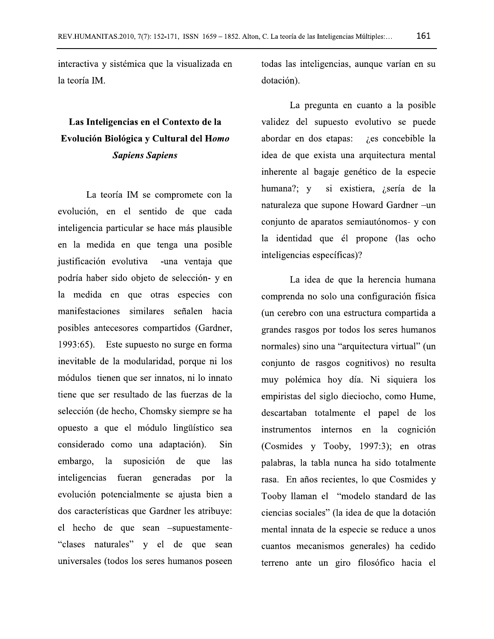interactiva y sistémica que la visualizada en la teoría IM.

## Las Inteligencias en el Contexto de la Evolución Biológica y Cultural del Homo **Sapiens Sapiens**

La teoría IM se compromete con la evolución, en el sentido de que cada inteligencia particular se hace más plausible en la medida en que tenga una posible justificación evolutiva -una ventaja que podría haber sido objeto de selección- y en la medida en que otras especies con manifestaciones similares señalen hacia posibles antecesores compartidos (Gardner, 1993:65). Este supuesto no surge en forma inevitable de la modularidad, porque ni los módulos tienen que ser innatos, ni lo innato tiene que ser resultado de las fuerzas de la selección (de hecho, Chomsky siempre se ha opuesto a que el módulo lingüístico sea considerado como una adaptación). Sin embargo, la suposición de que *las* inteligencias fueran generadas por la evolución potencialmente se ajusta bien a dos características que Gardner les atribuye: el hecho de que sean -supuestamente-"clases naturales" y el de que sean universales (todos los seres humanos poseen

todas las inteligencias, aunque varían en su dotación).

La pregunta en cuanto a la posible validez del supuesto evolutivo se puede abordar en dos etapas: *i*, es concebible la idea de que exista una arquitectura mental inherente al bagaje genético de la especie humana?; y si existiera, ¿sería de la naturaleza que supone Howard Gardner –un conjunto de aparatos semiautónomos- y con la identidad que él propone (las ocho inteligencias específicas)?

La idea de que la herencia humana comprenda no solo una configuración física (un cerebro con una estructura compartida a grandes rasgos por todos los seres humanos normales) sino una "arquitectura virtual" (un conjunto de rasgos cognitivos) no resulta muy polémica hoy día. Ni siquiera los empiristas del siglo dieciocho, como Hume, descartaban totalmente el papel de los instrumentos internos en la cognición (Cosmides y Tooby, 1997:3); en otras palabras, la tabla nunca ha sido totalmente rasa. En años recientes, lo que Cosmides y Tooby llaman el "modelo standard de las ciencias sociales" (la idea de que la dotación mental innata de la especie se reduce a unos cuantos mecanismos generales) ha cedido terreno ante un giro filosófico hacia el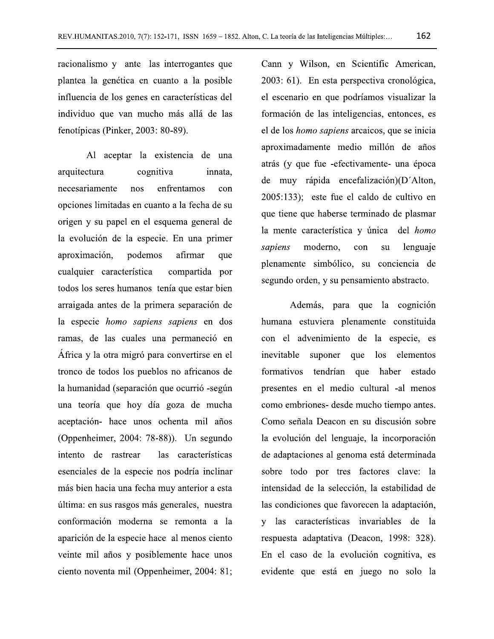racionalismo y ante las interrogantes que plantea la genética en cuanto a la posible influencia de los genes en características del individuo que van mucho más allá de las fenotípicas (Pinker, 2003: 80-89).

Al aceptar la existencia de una arquitectura cognitiva innata, necesariamente enfrentamos nos con opciones limitadas en cuanto a la fecha de su origen y su papel en el esquema general de la evolución de la especie. En una primer afirmar aproximación, podemos que cualquier característica compartida por todos los seres humanos tenía que estar bien arraigada antes de la primera separación de la especie homo sapiens sapiens en dos ramas, de las cuales una permaneció en África y la otra migró para convertirse en el tronco de todos los pueblos no africanos de la humanidad (separación que ocurrió -según una teoría que hoy día goza de mucha aceptación- hace unos ochenta mil años (Oppenheimer, 2004: 78-88)). Un segundo intento de rastrear las características esenciales de la especie nos podría inclinar más bien hacia una fecha muy anterior a esta última: en sus rasgos más generales, nuestra conformación moderna se remonta a la aparición de la especie hace al menos ciento veinte mil años y posiblemente hace unos ciento noventa mil (Oppenheimer, 2004: 81;

Cann y Wilson, en Scientific American, 2003: 61). En esta perspectiva cronológica, el escenario en que podríamos visualizar la formación de las inteligencias, entonces, es el de los *homo sapiens* arcaicos, que se inicia aproximadamente medio millón de años atrás (y que fue -efectivamente- una época de muy rápida encefalización)(D'Alton, 2005:133); este fue el caldo de cultivo en que tiene que haberse terminado de plasmar la mente característica y única del *homo* sapiens moderno. lenguaje con su plenamente simbólico, su conciencia de segundo orden, y su pensamiento abstracto.

Además, para que la cognición humana estuviera plenamente constituida con el advenimiento de la especie, es inevitable suponer que los elementos formativos tendrían que haber estado presentes en el medio cultural -al menos como embriones- desde mucho tiempo antes. Como señala Deacon en su discusión sobre la evolución del lenguaje, la incorporación de adaptaciones al genoma está determinada sobre todo por tres factores clave: la intensidad de la selección, la estabilidad de las condiciones que favorecen la adaptación, y las características invariables de la respuesta adaptativa (Deacon, 1998: 328). En el caso de la evolución cognitiva, es evidente que está en juego no solo la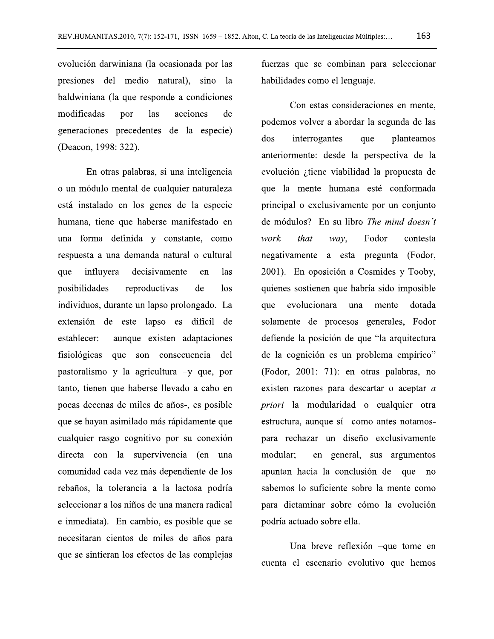evolución darwiniana (la ocasionada por las presiones del medio natural), sino la baldwiniana (la que responde a condiciones modificadas las acciones por de generaciones precedentes de la especie) (Deacon, 1998: 322).

En otras palabras, si una inteligencia o un módulo mental de cualquier naturaleza está instalado en los genes de la especie humana, tiene que haberse manifestado en una forma definida y constante, como respuesta a una demanda natural o cultural influyera decisivamente que en *las* posibilidades reproductivas de  $\log$ individuos, durante un lapso prolongado. La extensión de este lapso es difícil de aunque existen adaptaciones establecer: fisiológicas que son consecuencia del pastoralismo y la agricultura -y que, por tanto, tienen que haberse llevado a cabo en pocas decenas de miles de años-, es posible que se hayan asimilado más rápidamente que cualquier rasgo cognitivo por su conexión directa con la supervivencia (en una comunidad cada vez más dependiente de los rebaños, la tolerancia a la lactosa podría seleccionar a los niños de una manera radical e inmediata). En cambio, es posible que se necesitaran cientos de miles de años para que se sintieran los efectos de las complejas

fuerzas que se combinan para seleccionar habilidades como el lenguaje.

Con estas consideraciones en mente. podemos volver a abordar la segunda de las dos interrogantes que planteamos anteriormente: desde la perspectiva de la evolución ¿tiene viabilidad la propuesta de que la mente humana esté conformada principal o exclusivamente por un conjunto de módulos? En su libro The mind doesn't Fodor work that way, contesta negativamente a esta pregunta (Fodor, 2001). En oposición a Cosmides y Tooby, quienes sostienen que habría sido imposible evolucionara una que mente dotada solamente de procesos generales, Fodor defiende la posición de que "la arquitectura de la cognición es un problema empírico" (Fodor, 2001: 71): en otras palabras, no existen razones para descartar o aceptar a *priori* la modularidad o cualquier otra estructura, aunque sí -como antes notamospara rechazar un diseño exclusivamente modular: en general, sus argumentos apuntan hacia la conclusión de que no sabemos lo suficiente sobre la mente como para dictaminar sobre cómo la evolución podría actuado sobre ella.

Una breve reflexión -que tome en cuenta el escenario evolutivo que hemos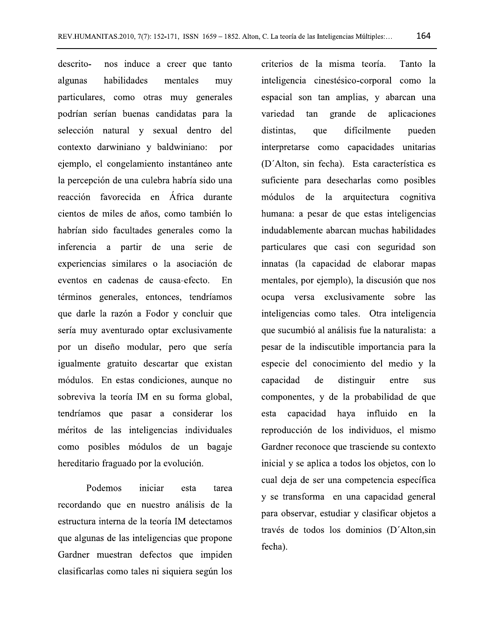164

descritonos induce a creer que tanto habilidades algunas mentales muy particulares, como otras muy generales podrían serían buenas candidatas para la selección natural y sexual dentro del contexto darwiniano y baldwiniano: por ejemplo, el congelamiento instantáneo ante la percepción de una culebra habría sido una reacción favorecida en África durante cientos de miles de años, como también lo habrían sido facultades generales como la inferencia a partir de una serie de experiencias similares o la asociación de eventos en cadenas de causa-efecto. En términos generales, entonces, tendríamos que darle la razón a Fodor y concluir que sería muy aventurado optar exclusivamente por un diseño modular, pero que sería igualmente gratuito descartar que existan módulos. En estas condiciones, aunque no sobreviva la teoría IM en su forma global, tendríamos que pasar a considerar los méritos de las inteligencias individuales como posibles módulos de un bagaje hereditario fraguado por la evolución.

iniciar Podemos esta tarea recordando que en nuestro análisis de la estructura interna de la teoría IM detectamos que algunas de las inteligencias que propone Gardner muestran defectos que impiden clasificarlas como tales ni siquiera según los

criterios de la misma teoría. Tanto la inteligencia cinestésico-corporal como la espacial son tan amplias, y abarcan una variedad tan grande de aplicaciones distintas. que difícilmente pueden interpretarse como capacidades unitarias (D'Alton, sin fecha). Esta característica es suficiente para desecharlas como posibles módulos de la arquitectura cognitiva humana: a pesar de que estas inteligencias indudablemente abarcan muchas habilidades particulares que casi con seguridad son innatas (la capacidad de elaborar mapas mentales, por ejemplo), la discusión que nos ocupa versa exclusivamente sobre las inteligencias como tales. Otra inteligencia que sucumbió al análisis fue la naturalista: a pesar de la indiscutible importancia para la especie del conocimiento del medio y la capacidad distinguir de entre sus componentes, y de la probabilidad de que capacidad haya influido esta en la reproducción de los individuos, el mismo Gardner reconoce que trasciende su contexto inicial y se aplica a todos los objetos, con lo cual deja de ser una competencia específica y se transforma en una capacidad general para observar, estudiar y clasificar objetos a través de todos los dominios (D'Alton, sin fecha).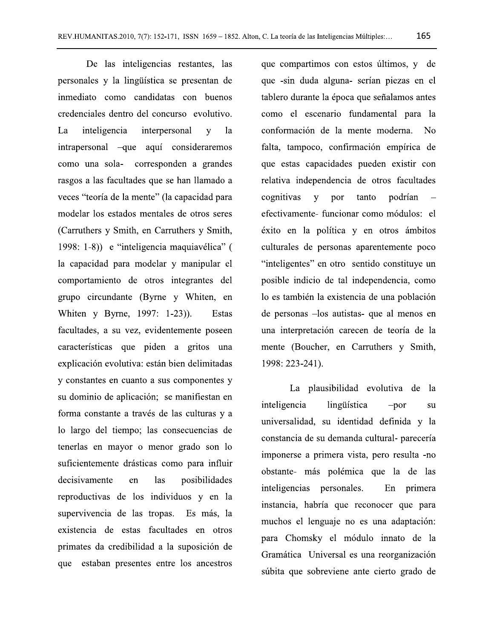De las inteligencias restantes, las personales y la lingüística se presentan de inmediato como candidatas con buenos credenciales dentro del concurso evolutivo. La inteligencia interpersonal  $\overline{\mathbf{V}}$ <sup>1</sup>a intrapersonal –que aquí consideraremos como una sola- corresponden a grandes rasgos a las facultades que se han llamado a veces "teoría de la mente" (la capacidad para modelar los estados mentales de otros seres (Carruthers y Smith, en Carruthers y Smith, 1998: 1-8)) e "inteligencia maquiavélica" ( la capacidad para modelar y manipular el comportamiento de otros integrantes del grupo circundante (Byrne y Whiten, en Whiten y Byrne, 1997: 1-23). Estas facultades, a su vez, evidentemente poseen características que piden a gritos una explicación evolutiva: están bien delimitadas y constantes en cuanto a sus componentes y su dominio de aplicación; se manifiestan en forma constante a través de las culturas y a lo largo del tiempo; las consecuencias de tenerlas en mayor o menor grado son lo suficientemente drásticas como para influir decisivamente las posibilidades en reproductivas de los individuos y en la supervivencia de las tropas. Es más, la existencia de estas facultades en otros primates da credibilidad a la suposición de que estaban presentes entre los ancestros

que compartimos con estos últimos, y de que -sin duda alguna- serían piezas en el tablero durante la época que señalamos antes como el escenario fundamental para la conformación de la mente moderna. N<sub>0</sub> falta, tampoco, confirmación empírica de que estas capacidades pueden existir con relativa independencia de otros facultades cognitivas  $\mathbf{V}$ por tanto podrían efectivamente- funcionar como módulos: el éxito en la política y en otros ámbitos culturales de personas aparentemente poco "inteligentes" en otro sentido constituye un posible indicio de tal independencia, como lo es también la existencia de una población de personas -los autistas- que al menos en una interpretación carecen de teoría de la mente (Boucher, en Carruthers y Smith, 1998: 223-241).

La plausibilidad evolutiva de la inteligencia lingüística  $-por$ su universalidad, su identidad definida y la constancia de su demanda cultural-parecería imponerse a primera vista, pero resulta -no obstante- más polémica que la de las inteligencias personales. primera En instancia, habría que reconocer que para muchos el lenguaje no es una adaptación: para Chomsky el módulo innato de la Gramática Universal es una reorganización súbita que sobreviene ante cierto grado de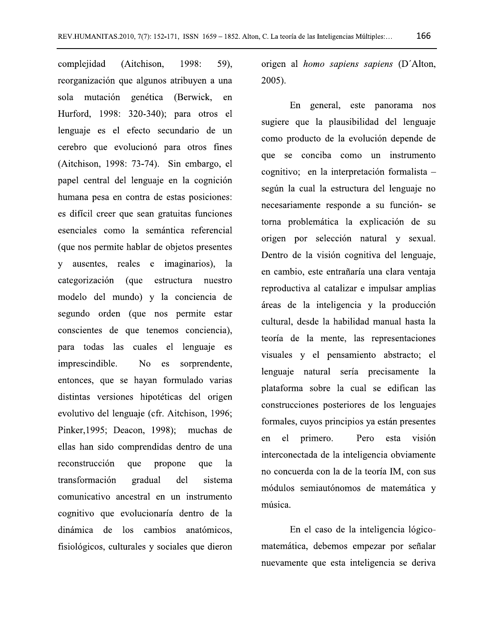complejidad (Aitchison, 1998: 59). reorganización que algunos atribuyen a una sola mutación genética (Berwick, en Hurford, 1998: 320-340); para otros el lenguaje es el efecto secundario de un cerebro que evolucionó para otros fines (Aitchison, 1998: 73-74). Sin embargo, el papel central del lenguaje en la cognición humana pesa en contra de estas posiciones: es difícil creer que sean gratuitas funciones esenciales como la semántica referencial (que nos permite hablar de objetos presentes y ausentes, reales e imaginarios), la categorización (que estructura nuestro modelo del mundo) y la conciencia de segundo orden (que nos permite estar conscientes de que tenemos conciencia), para todas las cuales el lenguaje es imprescindible. N<sub>o</sub> es sorprendente, entonces, que se hayan formulado varias distintas versiones hipotéticas del origen evolutivo del lenguaje (cfr. Aitchison, 1996; Pinker, 1995; Deacon, 1998); muchas de ellas han sido comprendidas dentro de una reconstrucción que propone que <sup>1</sup>a transformación gradual del sistema comunicativo ancestral en un instrumento cognitivo que evolucionaría dentro de la dinámica de los cambios anatómicos. fisiológicos, culturales y sociales que dieron

origen al *homo sapiens sapiens* (D'Alton, 2005).

En general, este panorama nos sugiere que la plausibilidad del lenguaje como producto de la evolución depende de que se conciba como un instrumento cognitivo; en la interpretación formalista según la cual la estructura del lenguaje no necesariamente responde a su función- se torna problemática la explicación de su origen por selección natural y sexual. Dentro de la visión cognitiva del lenguaje, en cambio, este entrañaría una clara ventaja reproductiva al catalizar e impulsar amplias áreas de la inteligencia y la producción cultural, desde la habilidad manual hasta la teoría de la mente, las representaciones visuales y el pensamiento abstracto; el lenguaje natural sería precisamente la plataforma sobre la cual se edifican las construcciones posteriores de los lenguajes formales, cuyos principios ya están presentes el primero. Pero en esta visión interconectada de la inteligencia obviamente no concuerda con la de la teoría IM, con sus módulos semiautónomos de matemática y música.

En el caso de la inteligencia lógicomatemática, debemos empezar por señalar nuevamente que esta inteligencia se deriva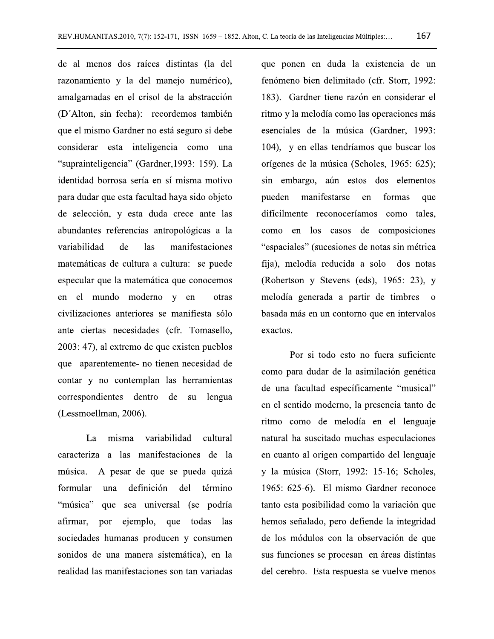de al menos dos raíces distintas (la del razonamiento y la del manejo numérico), amalgamadas en el crisol de la abstracción (D'Alton, sin fecha): recordemos también que el mismo Gardner no está seguro si debe considerar esta inteligencia como una "suprainteligencia" (Gardner, 1993: 159). La identidad borrosa sería en sí misma motivo para dudar que esta facultad haya sido objeto de selección, y esta duda crece ante las abundantes referencias antropológicas a la variabilidad manifestaciones de las matemáticas de cultura a cultura: se puede especular que la matemática que conocemos en el mundo moderno y en otras civilizaciones anteriores se manifiesta sólo ante ciertas necesidades (cfr. Tomasello, 2003: 47), al extremo de que existen pueblos que -aparentemente- no tienen necesidad de contar y no contemplan las herramientas correspondientes dentro de su lengua (Lessmoellman, 2006).

La misma variabilidad cultural caracteriza a las manifestaciones de la A pesar de que se pueda quizá música. definición del formular una término "música" que sea universal (se podría ejemplo, que todas afirmar. por las sociedades humanas producen y consumen sonidos de una manera sistemática), en la realidad las manifestaciones son tan variadas

que ponen en duda la existencia de un fenómeno bien delimitado (cfr. Storr, 1992: 183). Gardner tiene razón en considerar el ritmo y la melodía como las operaciones más esenciales de la música (Gardner, 1993: 104), y en ellas tendríamos que buscar los orígenes de la música (Scholes, 1965: 625); sin embargo, aún estos dos elementos pueden manifestarse en formas que difícilmente reconoceríamos como tales, como en los casos de composiciones "espaciales" (sucesiones de notas sin métrica fija), melodía reducida a solo dos notas (Robertson y Stevens (eds), 1965: 23), y melodía generada a partir de timbres  $\mathbf{o}$ basada más en un contorno que en intervalos exactos.

Por si todo esto no fuera suficiente como para dudar de la asimilación genética de una facultad específicamente "musical" en el sentido moderno, la presencia tanto de ritmo como de melodía en el lenguaje natural ha suscitado muchas especulaciones en cuanto al origen compartido del lenguaje y la música (Storr, 1992: 15-16; Scholes, 1965: 625-6). El mismo Gardner reconoce tanto esta posibilidad como la variación que hemos señalado, pero defiende la integridad de los módulos con la observación de que sus funciones se procesan en áreas distintas del cerebro. Esta respuesta se vuelve menos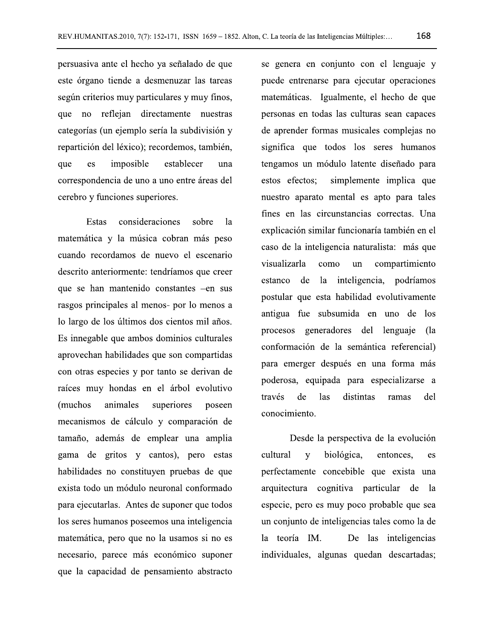persuasiva ante el hecho ya señalado de que este órgano tiende a desmenuzar las tareas según criterios muy particulares y muy finos, que no reflejan directamente nuestras categorías (un ejemplo sería la subdivisión y repartición del léxico); recordemos, también, que es imposible establecer una correspondencia de uno a uno entre áreas del cerebro y funciones superiores.

consideraciones **Estas** sobre  $1a$ matemática y la música cobran más peso cuando recordamos de nuevo el escenario descrito anteriormente: tendríamos que creer que se han mantenido constantes -en sus rasgos principales al menos- por lo menos a lo largo de los últimos dos cientos mil años. Es innegable que ambos dominios culturales aprovechan habilidades que son compartidas con otras especies y por tanto se derivan de raíces muy hondas en el árbol evolutivo (muchos) animales superiores poseen mecanismos de cálculo y comparación de tamaño, además de emplear una amplia gama de gritos y cantos), pero estas habilidades no constituyen pruebas de que exista todo un módulo neuronal conformado para ejecutarlas. Antes de suponer que todos los seres humanos poseemos una inteligencia matemática, pero que no la usamos si no es necesario, parece más económico suponer que la capacidad de pensamiento abstracto

se genera en conjunto con el lenguaje y puede entrenarse para ejecutar operaciones matemáticas. Igualmente, el hecho de que personas en todas las culturas sean capaces de aprender formas musicales complejas no significa que todos los seres humanos tengamos un módulo latente diseñado para estos efectos; simplemente implica que nuestro aparato mental es apto para tales fines en las circunstancias correctas. Una explicación similar funcionaría también en el caso de la inteligencia naturalista: más que visualizarla como compartimiento un estanco de la inteligencia, podríamos postular que esta habilidad evolutivamente antigua fue subsumida en uno de los procesos generadores del lenguaje (la conformación de la semántica referencial) para emerger después en una forma más poderosa, equipada para especializarse a través de <sub>l</sub>as distintas ramas del conocimiento.

Desde la perspectiva de la evolución cultural biológica,  $\overline{\mathbf{V}}$ entonces, es perfectamente concebible que exista una arquitectura cognitiva particular de la especie, pero es muy poco probable que sea un conjunto de inteligencias tales como la de la teoría IM. De las inteligencias individuales, algunas quedan descartadas;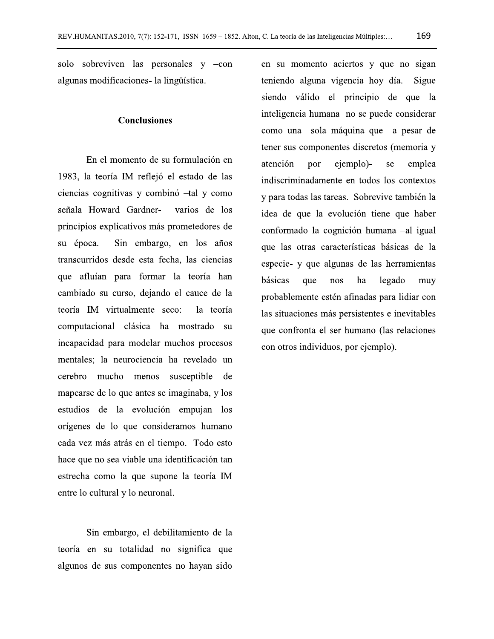solo sobreviven las personales  $y$  -con algunas modificaciones - la lingüística.

### **Conclusiones**

En el momento de su formulación en 1983, la teoría IM reflejó el estado de las ciencias cognitivas y combinó -tal y como señala Howard Gardnervarios de los principios explicativos más prometedores de Sin embargo, en los años su época. transcurridos desde esta fecha, las ciencias que afluían para formar la teoría han cambiado su curso, dejando el cauce de la teoría IM virtualmente seco: la teoría computacional clásica ha mostrado su incapacidad para modelar muchos procesos mentales; la neurociencia ha revelado un cerebro mucho menos susceptible de mapearse de lo que antes se imaginaba, y los estudios de la evolución empujan los orígenes de lo que consideramos humano cada vez más atrás en el tiempo. Todo esto hace que no sea viable una identificación tan estrecha como la que supone la teoría IM entre lo cultural y lo neuronal.

Sin embargo, el debilitamiento de la teoría en su totalidad no significa que algunos de sus componentes no hayan sido

en su momento aciertos y que no sigan teniendo alguna vigencia hoy día. Sigue siendo válido el principio de que la inteligencia humana no se puede considerar como una sola máquina que -a pesar de tener sus componentes discretos (memoria y atención por ejemplo)emplea se indiscriminadamente en todos los contextos y para todas las tareas. Sobrevive también la idea de que la evolución tiene que haber conformado la cognición humana -al igual que las otras características básicas de la especie- y que algunas de las herramientas básicas legado que nos ha muy probablemente estén afinadas para lidiar con las situaciones más persistentes e inevitables que confronta el ser humano (las relaciones con otros individuos, por ejemplo).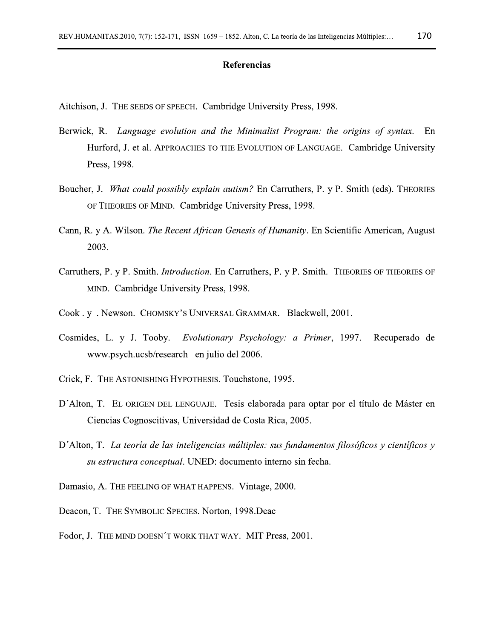#### Referencias

Aitchison, J. THE SEEDS OF SPEECH. Cambridge University Press, 1998.

- Berwick, R. Language evolution and the Minimalist Program: the origins of syntax. En Hurford, J. et al. APPROACHES TO THE EVOLUTION OF LANGUAGE. Cambridge University Press, 1998.
- Boucher, J. What could possibly explain autism? En Carruthers, P. y P. Smith (eds). THEORIES OF THEORIES OF MIND. Cambridge University Press, 1998.
- Cann, R. y A. Wilson. *The Recent African Genesis of Humanity*. En Scientific American, August 2003.
- Carruthers, P. y P. Smith. *Introduction*. En Carruthers, P. y P. Smith. THEORIES OF THEORIES OF MIND. Cambridge University Press, 1998.
- Cook. y. Newson. CHOMSKY'S UNIVERSAL GRAMMAR. Blackwell, 2001.
- Cosmides, L. y J. Tooby. Evolutionary Psychology: a Primer, 1997. Recuperado de www.psych.ucsb/research en julio del 2006.
- Crick, F. THE ASTONISHING HYPOTHESIS. Touchstone, 1995.
- D'Alton, T. EL ORIGEN DEL LENGUAJE. Tesis elaborada para optar por el título de Máster en Ciencias Cognoscitivas, Universidad de Costa Rica, 2005.
- D'Alton, T. La teoría de las inteligencias múltiples: sus fundamentos filosóficos y científicos y su estructura conceptual. UNED: documento interno sin fecha.
- Damasio, A. THE FEELING OF WHAT HAPPENS. Vintage, 2000.
- Deacon, T. THE SYMBOLIC SPECIES. Norton, 1998. Deac
- Fodor, J. THE MIND DOESN'T WORK THAT WAY. MIT Press, 2001.